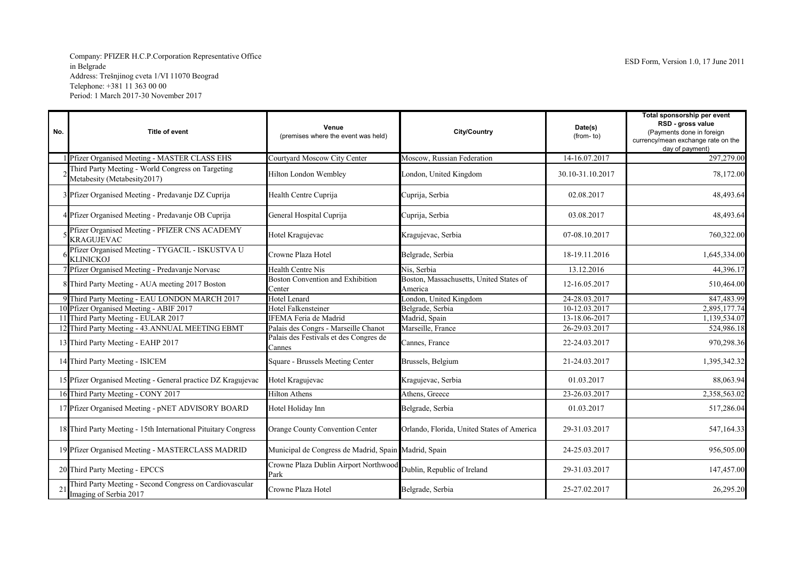## Company: PFIZER H.C.P.Corporation Representative Office Address: Trešnjinog cveta 1/VI 11070 Beograd Telephone: +381 11 363 00 00 Period: 1 March 2017-30 November 2017

| No. | <b>Title of event</b>                                                             | Venue<br>(premises where the event was held)                              | City/Country                                       | Date(s)<br>(from-to) | Total sponsorship per event<br>RSD - gross value<br>(Payments done in foreign<br>currency/mean exchange rate on the<br>day of payment) |
|-----|-----------------------------------------------------------------------------------|---------------------------------------------------------------------------|----------------------------------------------------|----------------------|----------------------------------------------------------------------------------------------------------------------------------------|
|     | Pfizer Organised Meeting - MASTER CLASS EHS                                       | Courtyard Moscow City Center                                              | Moscow, Russian Federation                         | 14-16.07.2017        | 297,279.00                                                                                                                             |
|     | Third Party Meeting - World Congress on Targeting<br>Metabesity (Metabesity2017)  | Hilton London Wembley                                                     | London, United Kingdom                             | 30.10-31.10.2017     | 78,172.00                                                                                                                              |
|     | 3 Pfizer Organised Meeting - Predavanje DZ Cuprija                                | Health Centre Cuprija                                                     | Cuprija, Serbia                                    | 02.08.2017           | 48,493.64                                                                                                                              |
|     | 4 Pfizer Organised Meeting - Predavanje OB Cuprija                                | General Hospital Cuprija                                                  | Cuprija, Serbia                                    | 03.08.2017           | 48,493.64                                                                                                                              |
|     | Pfizer Organised Meeting - PFIZER CNS ACADEMY<br><b>KRAGUJEVAC</b>                | Hotel Kragujevac                                                          | Kragujevac, Serbia                                 | 07-08.10.2017        | 760,322.00                                                                                                                             |
|     | Pfizer Organised Meeting - TYGACIL - ISKUSTVA U<br>KLINICKOJ                      | Crowne Plaza Hotel                                                        | Belgrade, Serbia                                   | 18-19.11.2016        | 1,645,334.00                                                                                                                           |
|     | Pfizer Organised Meeting - Predavanje Norvasc                                     | <b>Health Centre Nis</b>                                                  | Nis, Serbia                                        | 13.12.2016           | 44,396.17                                                                                                                              |
|     | 8 Third Party Meeting - AUA meeting 2017 Boston                                   | <b>Boston Convention and Exhibition</b><br>Center                         | Boston, Massachusetts, United States of<br>America | 12-16.05.2017        | 510,464.00                                                                                                                             |
|     | 9 Third Party Meeting - EAU LONDON MARCH 2017                                     | <b>Hotel Lenard</b>                                                       | London, United Kingdom                             | 24-28.03.2017        | 847,483.99                                                                                                                             |
|     | 10 Pfizer Organised Meeting - ABIF 2017                                           | <b>Hotel Falkensteiner</b>                                                | Belgrade, Serbia                                   | 10-12.03.2017        | 2,895,177.74                                                                                                                           |
|     | 11 Third Party Meeting - EULAR 2017                                               | IFEMA Feria de Madrid                                                     | Madrid, Spain                                      | 13-18.06-2017        | 1,139,534.07                                                                                                                           |
|     | 12 Third Party Meeting - 43.ANNUAL MEETING EBMT                                   | Palais des Congrs - Marseille Chanot                                      | Marseille, France                                  | 26-29.03.2017        | 524,986.18                                                                                                                             |
|     | 13 Third Party Meeting - EAHP 2017                                                | Palais des Festivals et des Congres de<br>Cannes                          | Cannes, France                                     | 22-24.03.2017        | 970,298.36                                                                                                                             |
|     | 14 Third Party Meeting - ISICEM                                                   | Square - Brussels Meeting Center                                          | Brussels, Belgium                                  | 21-24.03.2017        | 1,395,342.32                                                                                                                           |
|     | 15 Pfizer Organised Meeting - General practice DZ Kragujevac                      | Hotel Kragujevac                                                          | Kragujevac, Serbia                                 | 01.03.2017           | 88,063.94                                                                                                                              |
|     | 16 Third Party Meeting - CONY 2017                                                | <b>Hilton Athens</b>                                                      | Athens, Greece                                     | 23-26.03.2017        | 2,358,563.02                                                                                                                           |
|     | 17 Pfizer Organised Meeting - pNET ADVISORY BOARD                                 | Hotel Holiday Inn                                                         | Belgrade, Serbia                                   | 01.03.2017           | 517,286.04                                                                                                                             |
|     | 18 Third Party Meeting - 15th International Pituitary Congress                    | Orange County Convention Center                                           | Orlando, Florida, United States of America         | 29-31.03.2017        | 547,164.33                                                                                                                             |
|     | 19 Pfizer Organised Meeting - MASTERCLASS MADRID                                  | Municipal de Congress de Madrid, Spain Madrid, Spain                      |                                                    | 24-25.03.2017        | 956,505.00                                                                                                                             |
|     | 20 Third Party Meeting - EPCCS                                                    | Crowne Plaza Dublin Airport Northwood Dublin, Republic of Ireland<br>Park |                                                    | 29-31.03.2017        | 147,457.00                                                                                                                             |
|     | Third Party Meeting - Second Congress on Cardiovascular<br>Imaging of Serbia 2017 | Crowne Plaza Hotel                                                        | Belgrade, Serbia                                   | 25-27.02.2017        | 26,295.20                                                                                                                              |
|     |                                                                                   |                                                                           |                                                    |                      |                                                                                                                                        |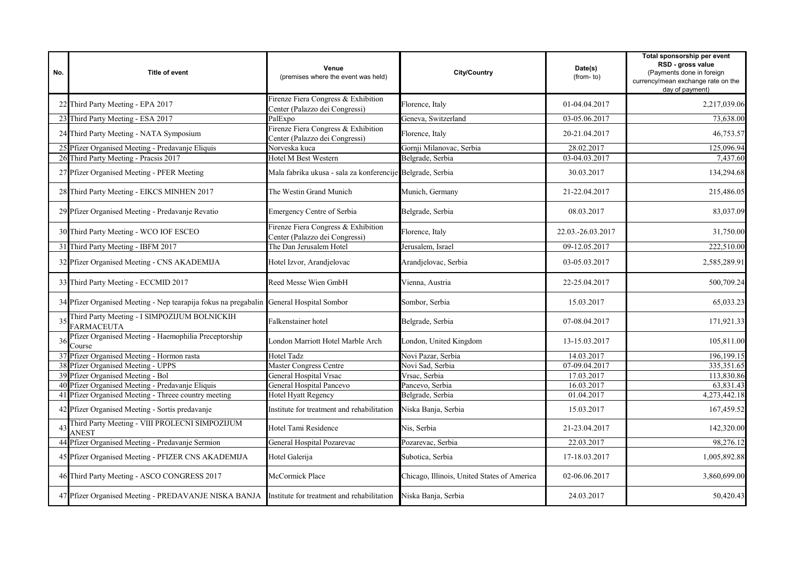| No. | Title of event                                                                                  | Venue<br>(premises where the event was held)                          | City/Country                                | Date(s)<br>(from-to) | Total sponsorship per event<br>RSD - gross value<br>(Payments done in foreign<br>currency/mean exchange rate on the<br>day of payment) |
|-----|-------------------------------------------------------------------------------------------------|-----------------------------------------------------------------------|---------------------------------------------|----------------------|----------------------------------------------------------------------------------------------------------------------------------------|
|     | 22 Third Party Meeting - EPA 2017                                                               | Firenze Fiera Congress & Exhibition<br>Center (Palazzo dei Congressi) | Florence, Italy                             | 01-04.04.2017        | 2,217,039.06                                                                                                                           |
|     | 23 Third Party Meeting - ESA 2017                                                               | PalExpo                                                               | Geneva, Switzerland                         | 03-05.06.2017        | 73,638.00                                                                                                                              |
|     | 24 Third Party Meeting - NATA Symposium                                                         | Firenze Fiera Congress & Exhibition<br>Center (Palazzo dei Congressi) | Florence, Italy                             | 20-21.04.2017        | 46,753.57                                                                                                                              |
|     | 25 Pfizer Organised Meeting - Predavanje Eliquis                                                | Norveska kuca                                                         | Gornji Milanovac, Serbia                    | 28.02.2017           | 125,096.94                                                                                                                             |
|     | 26 Third Party Meeting - Pracsis 2017                                                           | Hotel M Best Western                                                  | Belgrade, Serbia                            | 03-04.03.2017        | 7,437.60                                                                                                                               |
|     | 27 Pfizer Organised Meeting - PFER Meeting                                                      | Mala fabrika ukusa - sala za konferencije Belgrade, Serbia            |                                             | 30.03.2017           | 134,294.68                                                                                                                             |
|     | 28 Third Party Meeting - EIKCS MINHEN 2017                                                      | The Westin Grand Munich                                               | Munich, Germany                             | 21-22.04.2017        | 215,486.05                                                                                                                             |
|     | 29 Pfizer Organised Meeting - Predavanje Revatio                                                | Emergency Centre of Serbia                                            | Belgrade, Serbia                            | 08.03.2017           | 83,037.09                                                                                                                              |
|     | 30 Third Party Meeting - WCO IOF ESCEO                                                          | Firenze Fiera Congress & Exhibition<br>Center (Palazzo dei Congressi) | Florence, Italy                             | 22.03.-26.03.2017    | 31,750.00                                                                                                                              |
|     | 31 Third Party Meeting - IBFM 2017                                                              | The Dan Jerusalem Hotel                                               | Jerusalem. Israel                           | 09-12.05.2017        | 222,510.00                                                                                                                             |
|     | 32 Pfizer Organised Meeting - CNS AKADEMIJA                                                     | Hotel Izvor, Arandjelovac                                             | Arandjelovac, Serbia                        | 03-05.03.2017        | 2,585,289.91                                                                                                                           |
|     | 33 Third Party Meeting - ECCMID 2017                                                            | Reed Messe Wien GmbH                                                  | Vienna, Austria                             | 22-25.04.2017        | 500,709.24                                                                                                                             |
|     | 34 Pfizer Organised Meeting - Nep tearapija fokus na pregabalin General Hospital Sombor         |                                                                       | Sombor, Serbia                              | 15.03.2017           | 65,033.23                                                                                                                              |
|     | Third Party Meeting - I SIMPOZIJUM BOLNICKIH<br><b>FARMACEUTA</b>                               | Falkenstainer hotel                                                   | Belgrade, Serbia                            | 07-08.04.2017        | 171,921.33                                                                                                                             |
| 36  | Pfizer Organised Meeting - Haemophilia Preceptorship<br>Course                                  | London Marriott Hotel Marble Arch                                     | London, United Kingdom                      | 13-15.03.2017        | 105,811.00                                                                                                                             |
|     | Pfizer Organised Meeting - Hormon rasta                                                         | Hotel Tadz                                                            | Novi Pazar, Serbia                          | 14.03.2017           | 196,199.15                                                                                                                             |
|     | Pfizer Organised Meeting - UPPS                                                                 | Master Congress Centre                                                | Novi Sad, Serbia                            | 07-09.04.2017        | 335,351.65                                                                                                                             |
|     | 39 Pfizer Organised Meeting - Bol                                                               | General Hospital Vrsac                                                | Vrsac, Serbia                               | 17.03.2017           | 113,830.86                                                                                                                             |
|     | 40 Pfizer Organised Meeting - Predavanje Eliquis                                                | General Hospital Pancevo                                              | Pancevo, Serbia                             | 16.03.2017           | 63,831.43                                                                                                                              |
|     | 41 Pfizer Organised Meeting - Threee country meeting                                            | Hotel Hyatt Regency                                                   | Belgrade, Serbia                            | 01.04.2017           | 4,273,442.18                                                                                                                           |
|     | 42 Pfizer Organised Meeting - Sortis predavanje                                                 | Institute for treatment and rehabilitation                            | Niska Banja, Serbia                         | 15.03.2017           | 167,459.52                                                                                                                             |
|     | Third Party Meeting - VIII PROLECNI SIMPOZIJUM<br>ANEST                                         | Hotel Tami Residence                                                  | Nis, Serbia                                 | 21-23.04.2017        | 142,320.00                                                                                                                             |
|     | 44 Pfizer Organised Meeting - Predavanje Sermion                                                | General Hospital Pozarevac                                            | Pozarevac, Serbia                           | 22.03.2017           | 98,276.12                                                                                                                              |
|     | 45 Pfizer Organised Meeting - PFIZER CNS AKADEMIJA                                              | Hotel Galerija                                                        | Subotica, Serbia                            | 17-18.03.2017        | 1,005,892.88                                                                                                                           |
|     | 46 Third Party Meeting - ASCO CONGRESS 2017                                                     | McCormick Place                                                       | Chicago, Illinois, United States of America | 02-06.06.2017        | 3,860,699.00                                                                                                                           |
|     | 47 Pfizer Organised Meeting - PREDAVANJE NISKA BANJA Institute for treatment and rehabilitation |                                                                       | Niska Banja, Serbia                         | 24.03.2017           | 50,420.43                                                                                                                              |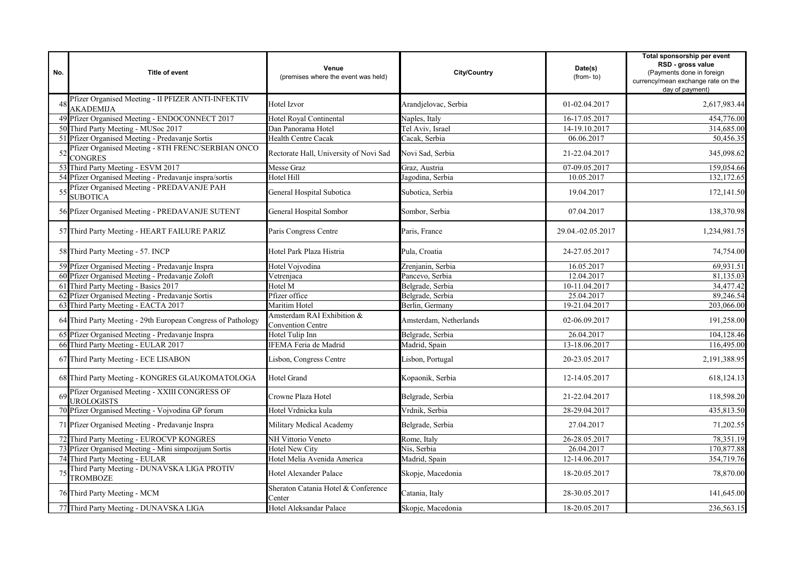| No. | <b>Title of event</b>                                                  | Venue<br>(premises where the event was held)           | <b>City/Country</b>    | Date(s)<br>(from-to) | Total sponsorship per event<br>RSD - gross value<br>(Payments done in foreign<br>currency/mean exchange rate on the<br>day of payment) |
|-----|------------------------------------------------------------------------|--------------------------------------------------------|------------------------|----------------------|----------------------------------------------------------------------------------------------------------------------------------------|
|     | Pfizer Organised Meeting - II PFIZER ANTI-INFEKTIV<br><b>AKADEMIJA</b> | Hotel Izvor                                            | Arandjelovac, Serbia   | 01-02.04.2017        | 2,617,983.44                                                                                                                           |
|     | 49 Pfizer Organised Meeting - ENDOCONNECT 2017                         | Hotel Royal Continental                                | Naples, Italy          | 16-17.05.2017        | 454,776.00                                                                                                                             |
|     | 50 Third Party Meeting - MUSoc 2017                                    | Dan Panorama Hotel                                     | Tel Aviv, Israel       | 14-19.10.2017        | 314,685.00                                                                                                                             |
|     | 51 Pfizer Organised Meeting - Predavanje Sortis                        | <b>Health Centre Cacak</b>                             | Cacak, Serbia          | 06.06.2017           | 50,456.35                                                                                                                              |
|     | Pfizer Organised Meeting - 8TH FRENC/SERBIAN ONCO<br><b>CONGRES</b>    | Rectorate Hall, University of Novi Sad                 | Novi Sad, Serbia       | 21-22.04.2017        | 345,098.62                                                                                                                             |
|     | 53 Third Party Meeting - ESVM 2017                                     | Messe Graz                                             | Graz, Austria          | 07-09.05.2017        | 159,054.66                                                                                                                             |
|     | 54 Pfizer Organised Meeting - Predavanje inspra/sortis                 | Hotel Hill                                             | Jagodina, Serbia       | 10.05.2017           | 132,172.65                                                                                                                             |
|     | Pfizer Organised Meeting - PREDAVANJE PAH<br><b>SUBOTICA</b>           | General Hospital Subotica                              | Subotica, Serbia       | 19.04.2017           | 172,141.50                                                                                                                             |
|     | 56 Pfizer Organised Meeting - PREDAVANJE SUTENT                        | General Hospital Sombor                                | Sombor, Serbia         | 07.04.2017           | 138,370.98                                                                                                                             |
|     | 57 Third Party Meeting - HEART FAILURE PARIZ                           | Paris Congress Centre                                  | Paris, France          | 29.04.-02.05.2017    | 1,234,981.75                                                                                                                           |
|     | 58 Third Party Meeting - 57. INCP                                      | Hotel Park Plaza Histria                               | Pula, Croatia          | 24-27.05.2017        | 74,754.00                                                                                                                              |
|     | 59 Pfizer Organised Meeting - Predavanje Inspra                        | Hotel Vojvodina                                        | Zrenjanin, Serbia      | 16.05.2017           | 69,931.51                                                                                                                              |
|     | 60 Pfizer Organised Meeting - Predavanje Zoloft                        | Vetrenjaca                                             | Pancevo, Serbia        | 12.04.2017           | 81,135.03                                                                                                                              |
|     | 61 Third Party Meeting - Basics 2017                                   | Hotel M                                                | Belgrade, Serbia       | 10-11.04.2017        | 34,477.42                                                                                                                              |
|     | Pfizer Organised Meeting - Predavanje Sortis                           | Pfizer office                                          | Belgrade, Serbia       | 25.04.2017           | 89,246.54                                                                                                                              |
| 63  | Third Party Meeting - EACTA 2017                                       | Maritim Hotel                                          | Berlin, Germany        | 19-21.04.2017        | 203,066.00                                                                                                                             |
|     | 64 Third Party Meeting - 29th European Congress of Pathology           | Amsterdam RAI Exhibition &<br><b>Convention Centre</b> | Amsterdam, Netherlands | 02-06.09.2017        | 191,258.00                                                                                                                             |
|     | 65 Pfizer Organised Meeting - Predavanje Inspra                        | Hotel Tulip Inn                                        | Belgrade, Serbia       | 26.04.2017           | 104,128.46                                                                                                                             |
|     | 66 Third Party Meeting - EULAR 2017                                    | IFEMA Feria de Madrid                                  | Madrid, Spain          | 13-18.06.2017        | 116,495.00                                                                                                                             |
|     | 67 Third Party Meeting - ECE LISABON                                   | Lisbon, Congress Centre                                | Lisbon, Portugal       | 20-23.05.2017        | 2,191,388.95                                                                                                                           |
|     | 68 Third Party Meeting - KONGRES GLAUKOMATOLOGA                        | <b>Hotel Grand</b>                                     | Kopaonik, Serbia       | 12-14.05.2017        | 618,124.13                                                                                                                             |
| 69  | Pfizer Organised Meeting - XXIII CONGRESS OF<br>UROLOGISTS             | Crowne Plaza Hotel                                     | Belgrade, Serbia       | 21-22.04.2017        | 118,598.20                                                                                                                             |
|     | 70 Pfizer Organised Meeting - Vojvodina GP forum                       | Hotel Vrdnicka kula                                    | Vrdnik, Serbia         | 28-29.04.2017        | 435,813.50                                                                                                                             |
|     | 71 Pfizer Organised Meeting - Predavanje Inspra                        | Military Medical Academy                               | Belgrade, Serbia       | 27.04.2017           | 71,202.55                                                                                                                              |
|     | 72 Third Party Meeting - EUROCVP KONGRES                               | NH Vittorio Veneto                                     | Rome, Italy            | 26-28.05.2017        | 78,351.19                                                                                                                              |
|     | 73 Pfizer Organised Meeting - Mini simpozijum Sortis                   | <b>Hotel New City</b>                                  | Nis, Serbia            | 26.04.2017           | 170,877.88                                                                                                                             |
|     | 74 Third Party Meeting - EULAR                                         | Hotel Melia Avenida America                            | Madrid, Spain          | 12-14.06.2017        | 354,719.76                                                                                                                             |
|     | Third Party Meeting - DUNAVSKA LIGA PROTIV<br><b>TROMBOZE</b>          | Hotel Alexander Palace                                 | Skopje, Macedonia      | 18-20.05.2017        | 78,870.00                                                                                                                              |
|     | 76 Third Party Meeting - MCM                                           | Sheraton Catania Hotel & Conference<br>Center          | Catania, Italy         | 28-30.05.2017        | 141,645.00                                                                                                                             |
|     | 77 Third Party Meeting - DUNAVSKA LIGA                                 | Hotel Aleksandar Palace                                | Skopje, Macedonia      | 18-20.05.2017        | 236,563.15                                                                                                                             |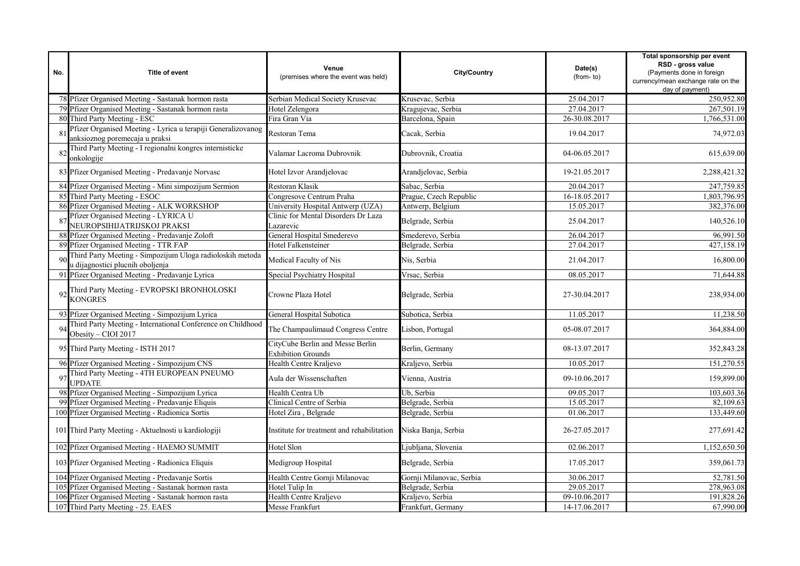| No. | <b>Title of event</b>                                                                          | Venue<br>(premises where the event was held)                  | <b>City/Country</b>      | Date(s)<br>(from-to) | Total sponsorship per event<br>RSD - gross value<br>(Payments done in foreign<br>currency/mean exchange rate on the<br>day of payment) |
|-----|------------------------------------------------------------------------------------------------|---------------------------------------------------------------|--------------------------|----------------------|----------------------------------------------------------------------------------------------------------------------------------------|
|     | 78 Pfizer Organised Meeting - Sastanak hormon rasta                                            | Serbian Medical Society Krusevac                              | Krusevac, Serbia         | 25.04.2017           | 250,952.80                                                                                                                             |
|     | 79 Pfizer Organised Meeting - Sastanak hormon rasta                                            | Hotel Zelengora                                               | Kragujevac, Serbia       | 27.04.2017           | 267,501.19                                                                                                                             |
|     | 80 Third Party Meeting - ESC                                                                   | Fira Gran Via                                                 | Barcelona, Spain         | 26-30.08.2017        | 1,766,531.00                                                                                                                           |
|     | Pfizer Organised Meeting - Lyrica u terapiji Generalizovanog<br>anksioznog poremecaja u praksi | Restoran Tema                                                 | Cacak, Serbia            | 19.04.2017           | 74,972.03                                                                                                                              |
|     | Third Party Meeting - I regionalni kongres internisticke<br>onkologije                         | Valamar Lacroma Dubrovnik                                     | Dubrovnik, Croatia       | 04-06.05.2017        | 615,639.00                                                                                                                             |
|     | 83 Pfizer Organised Meeting - Predavanje Norvasc                                               | Hotel Izvor Arandjelovac                                      | Arandjelovac, Serbia     | 19-21.05.2017        | 2,288,421.32                                                                                                                           |
|     | 84 Pfizer Organised Meeting - Mini simpozijum Sermion                                          | Restoran Klasik                                               | Sabac, Serbia            | 20.04.2017           | 247,759.85                                                                                                                             |
|     | 85 Third Party Meeting - ESOC                                                                  | Congresove Centrum Praha                                      | Prague, Czech Republic   | 16-18.05.2017        | 1.803.796.95                                                                                                                           |
| 86  | Pfizer Organised Meeting - ALK WORKSHOP                                                        | University Hospital Antwerp (UZA)                             | Antwerp, Belgium         | 15.05.2017           | 382,376.00                                                                                                                             |
|     | Pfizer Organised Meeting - LYRICA U<br>NEUROPSIHIJATRIJSKOJ PRAKSI                             | Clinic for Mental Disorders Dr Laza<br>Lazarevic              | Belgrade, Serbia         | 25.04.2017           | 140,526.10                                                                                                                             |
|     | Pfizer Organised Meeting - Predavanje Zoloft                                                   | General Hospital Smederevo                                    | Smederevo, Serbia        | 26.04.2017           | 96,991.50                                                                                                                              |
|     | 89 Pfizer Organised Meeting - TTR FAP                                                          | Hotel Falkensteiner                                           | Belgrade, Serbia         | 27.04.2017           | 427,158.19                                                                                                                             |
| Qf  | Third Party Meeting - Simpozijum Uloga radioloskih metoda<br>u dijagnostici plucnih oboljenja  | Medical Faculty of Nis                                        | Nis, Serbia              | 21.04.2017           | 16,800.00                                                                                                                              |
| 91  | Pfizer Organised Meeting - Predavanje Lyrica                                                   | Special Psychiatry Hospital                                   | Vrsac, Serbia            | 08.05.2017           | 71,644.88                                                                                                                              |
|     | Third Party Meeting - EVROPSKI BRONHOLOSKI<br><b>KONGRES</b>                                   | Crowne Plaza Hotel                                            | Belgrade, Serbia         | 27-30.04.2017        | 238,934.00                                                                                                                             |
|     | 93 Pfizer Organised Meeting - Simpozijum Lyrica                                                | General Hospital Subotica                                     | Subotica, Serbia         | 11.05.2017           | 11,238.50                                                                                                                              |
|     | Third Party Meeting - International Conference on Childhood<br>Obesity - CIOI 2017             | The Champaulimaud Congress Centre                             | Lisbon, Portugal         | 05-08.07.2017        | 364,884.00                                                                                                                             |
|     | 95 Third Party Meeting - ISTH 2017                                                             | CityCube Berlin and Messe Berlin<br><b>Exhibition Grounds</b> | Berlin, Germany          | 08-13.07.2017        | 352,843.28                                                                                                                             |
|     | 96 Pfizer Organised Meeting - Simpozijum CNS                                                   | Health Centre Kralievo                                        | Kraljevo, Serbia         | 10.05.2017           | 151,270.55                                                                                                                             |
|     | Third Party Meeting - 4TH EUROPEAN PNEUMO<br>UPDATE                                            | Aula der Wissenschaften                                       | Vienna, Austria          | 09-10.06.2017        | 159,899.00                                                                                                                             |
|     | Pfizer Organised Meeting - Simpozijum Lyrica                                                   | Health Centra Ub                                              | Ub. Serbia               | 09.05.2017           | 103,603.36                                                                                                                             |
|     | 99 Pfizer Organised Meeting - Predavanje Eliquis                                               | Clinical Centre of Serbia                                     | Belgrade, Serbia         | 15.05.2017           | 82,109.63                                                                                                                              |
|     | 100 Pfizer Organised Meeting - Radionica Sortis                                                | Hotel Zira, Belgrade                                          | Belgrade, Serbia         | 01.06.2017           | 133,449.60                                                                                                                             |
|     | 101 Third Party Meeting - Aktuelnosti u kardiologiji                                           | Institute for treatment and rehabilitation                    | Niska Banja, Serbia      | 26-27.05.2017        | 277,691.42                                                                                                                             |
|     | 102 Pfizer Organised Meeting - HAEMO SUMMIT                                                    | Hotel Slon                                                    | Ljubljana, Slovenia      | 02.06.2017           | 1,152,650.50                                                                                                                           |
|     | 103 Pfizer Organised Meeting - Radionica Eliquis                                               | Medigroup Hospital                                            | Belgrade, Serbia         | 17.05.2017           | 359,061.73                                                                                                                             |
|     | 104 Pfizer Organised Meeting - Predavanje Sortis                                               | Health Centre Gornji Milanovac                                | Gornji Milanovac, Serbia | 30.06.2017           | 52,781.50                                                                                                                              |
|     | 105 Pfizer Organised Meeting - Sastanak hormon rasta                                           | Hotel Tulip In                                                | Belgrade, Serbia         | 29.05.2017           | 278,963.08                                                                                                                             |
|     | 106 Pfizer Organised Meeting - Sastanak hormon rasta                                           | Health Centre Kraljevo                                        | Kraljevo, Serbia         | 09-10.06.2017        | 191,828.26                                                                                                                             |
|     | 107 Third Party Meeting - 25. EAES                                                             | Messe Frankfurt                                               | Frankfurt, Germany       | 14-17.06.2017        | 67,990.00                                                                                                                              |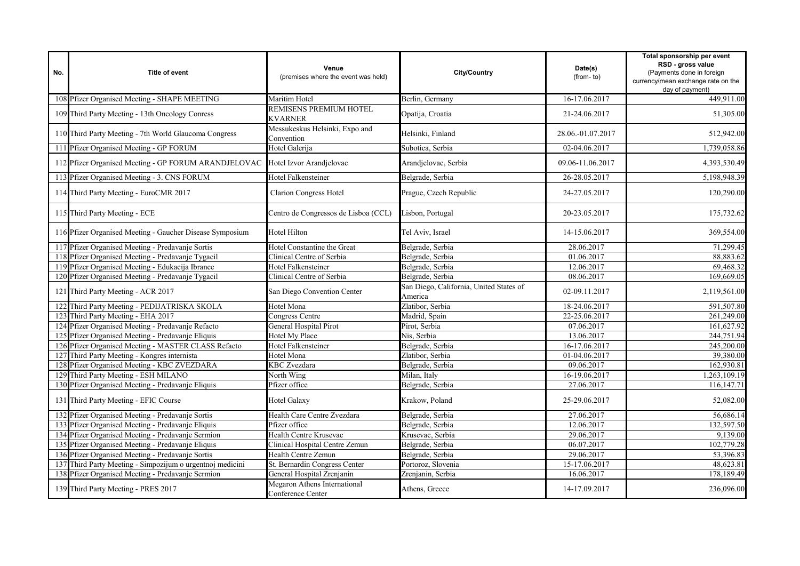| No. | <b>Title of event</b>                                                         | Venue<br>(premises where the event was held)      | City/Country                                       | Date(s)<br>(from-to) | Total sponsorship per event<br>RSD - gross value<br>(Payments done in foreign<br>currency/mean exchange rate on the<br>day of payment) |
|-----|-------------------------------------------------------------------------------|---------------------------------------------------|----------------------------------------------------|----------------------|----------------------------------------------------------------------------------------------------------------------------------------|
|     | 108 Pfizer Organised Meeting - SHAPE MEETING                                  | Maritim Hotel                                     | Berlin, Germany                                    | 16-17.06.2017        | 449,911.00                                                                                                                             |
|     | 109 Third Party Meeting - 13th Oncology Conress                               | REMISENS PREMIUM HOTEL<br>KVARNER                 | Opatija, Croatia                                   | 21-24.06.2017        | 51,305.00                                                                                                                              |
|     | 110 Third Party Meeting - 7th World Glaucoma Congress                         | Messukeskus Helsinki, Expo and<br>Convention      | Helsinki, Finland                                  | 28.06.-01.07.2017    | 512,942.00                                                                                                                             |
|     | 111 Pfizer Organised Meeting - GP FORUM                                       | Hotel Galerija                                    | Subotica, Serbia                                   | 02-04.06.2017        | 1,739,058.86                                                                                                                           |
|     | 112 Pfizer Organised Meeting - GP FORUM ARANDJELOVAC Hotel Izvor Arandjelovac |                                                   | Arandjelovac, Serbia                               | 09.06-11.06.2017     | 4,393,530.49                                                                                                                           |
|     | 113 Pfizer Organised Meeting - 3. CNS FORUM                                   | Hotel Falkensteiner                               | Belgrade, Serbia                                   | 26-28.05.2017        | 5,198,948.39                                                                                                                           |
|     | 114 Third Party Meeting - EuroCMR 2017                                        | Clarion Congress Hotel                            | Prague, Czech Republic                             | 24-27.05.2017        | 120,290.00                                                                                                                             |
|     | 115 Third Party Meeting - ECE                                                 | Centro de Congressos de Lisboa (CCL)              | Lisbon, Portugal                                   | 20-23.05.2017        | 175,732.62                                                                                                                             |
|     | 116 Pfizer Organised Meeting - Gaucher Disease Symposium                      | Hotel Hilton                                      | Tel Aviv, Israel                                   | 14-15.06.2017        | 369,554.00                                                                                                                             |
|     | 117 Pfizer Organised Meeting - Predavanje Sortis                              | Hotel Constantine the Great                       | Belgrade, Serbia                                   | 28.06.2017           | 71,299.45                                                                                                                              |
|     | 118 Pfizer Organised Meeting - Predavanje Tygacil                             | Clinical Centre of Serbia                         | Belgrade, Serbia                                   | 01.06.2017           | 88,883.62                                                                                                                              |
|     | 119 Pfizer Organised Meeting - Edukacija Ibrance                              | Hotel Falkensteiner                               | Belgrade, Serbia                                   | 12.06.2017           | 69,468.32                                                                                                                              |
|     | 120 Pfizer Organised Meeting - Predavanje Tygacil                             | Clinical Centre of Serbia                         | Belgrade, Serbia                                   | 08.06.2017           | 169,669.05                                                                                                                             |
|     | 121 Third Party Meeting - ACR 2017                                            | San Diego Convention Center                       | San Diego, California, United States of<br>America | 02-09.11.2017        | 2,119,561.00                                                                                                                           |
|     | 122 Third Party Meeting - PEDIJATRISKA SKOLA                                  | Hotel Mona                                        | Zlatibor, Serbia                                   | 18-24.06.2017        | 591,507.80                                                                                                                             |
|     | 123 Third Party Meeting - EHA 2017                                            | Congress Centre                                   | Madrid, Spain                                      | 22-25.06.2017        | 261,249.00                                                                                                                             |
|     | 124 Pfizer Organised Meeting - Predavanje Refacto                             | General Hospital Pirot                            | Pirot, Serbia                                      | 07.06.2017           | 161,627.92                                                                                                                             |
|     | 125 Pfizer Organised Meeting - Predavanje Eliquis                             | Hotel My Place                                    | Nis, Serbia                                        | 13.06.2017           | 244,751.94                                                                                                                             |
|     | 126 Pfizer Organised Meeting - MASTER CLASS Refacto                           | Hotel Falkensteiner                               | Belgrade, Serbia                                   | 16-17.06.2017        | 245,200.00                                                                                                                             |
|     | 127 Third Party Meeting - Kongres internista                                  | Hotel Mona                                        | Zlatibor, Serbia                                   | 01-04.06.2017        | 39,380.00                                                                                                                              |
|     | 128 Pfizer Organised Meeting - KBC ZVEZDARA                                   | <b>KBC</b> Zvezdara                               | Belgrade, Serbia                                   | 09.06.2017           | 162,930.81                                                                                                                             |
|     | 129 Third Party Meeting - ESH MILANO                                          | North Wing                                        | Milan, Italy                                       | 16-19.06.2017        | 1,263,109.19                                                                                                                           |
|     | 130 Pfizer Organised Meeting - Predavanje Eliquis                             | Pfizer office                                     | Belgrade, Serbia                                   | 27.06.2017           | 116, 147. 71                                                                                                                           |
|     | 131 Third Party Meeting - EFIC Course                                         | Hotel Galaxy                                      | Krakow, Poland                                     | 25-29.06.2017        | 52,082.00                                                                                                                              |
|     | 132 Pfizer Organised Meeting - Predavanje Sortis                              | Health Care Centre Zvezdara                       | Belgrade, Serbia                                   | 27.06.2017           | 56,686.14                                                                                                                              |
|     | 133 Pfizer Organised Meeting - Predavanje Eliquis                             | Pfizer office                                     | Belgrade, Serbia                                   | 12.06.2017           | 132,597.50                                                                                                                             |
|     | 134 Pfizer Organised Meeting - Predavanje Sermion                             | Health Centre Krusevac                            | Krusevac, Serbia                                   | 29.06.2017           | 9,139.00                                                                                                                               |
|     | 135 Pfizer Organised Meeting - Predavanje Eliquis                             | Clinical Hospital Centre Zemun                    | Belgrade, Serbia                                   | 06.07.2017           | 102,779.28                                                                                                                             |
|     | 136 Pfizer Organised Meeting - Predavanje Sortis                              | Health Centre Zemun                               | Belgrade, Serbia                                   | 29.06.2017           | 53,396.83                                                                                                                              |
|     | 137 Third Party Meeting - Simpozijum o urgentnoj medicini                     | St. Bernardin Congress Center                     | Portoroz, Slovenia                                 | 15-17.06.2017        | 48,623.81                                                                                                                              |
|     | 138 Pfizer Organised Meeting - Predavanje Sermion                             | General Hospital Zrenjanin                        | Zrenjanin, Serbia                                  | 16.06.2017           | 178,189.49                                                                                                                             |
|     | 139 Third Party Meeting - PRES 2017                                           | Megaron Athens International<br>Conference Center | Athens, Greece                                     | 14-17.09.2017        | 236,096.00                                                                                                                             |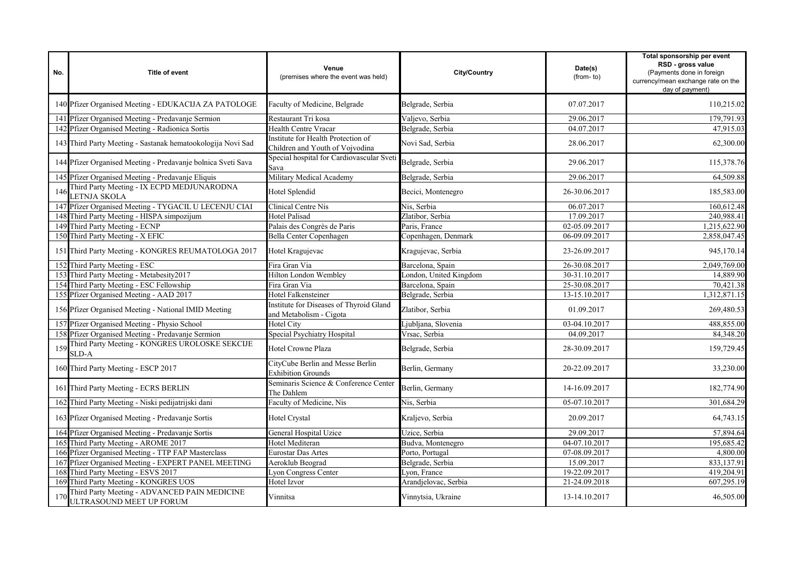| No. | Title of event                                                           | Venue<br>(premises where the event was held)                          | <b>City/Country</b>    | Date(s)<br>(from-to) | Total sponsorship per event<br>RSD - gross value<br>(Payments done in foreign<br>currency/mean exchange rate on the<br>day of payment) |
|-----|--------------------------------------------------------------------------|-----------------------------------------------------------------------|------------------------|----------------------|----------------------------------------------------------------------------------------------------------------------------------------|
|     | 140 Pfizer Organised Meeting - EDUKACIJA ZA PATOLOGE                     | Faculty of Medicine, Belgrade                                         | Belgrade, Serbia       | 07.07.2017           | 110,215.02                                                                                                                             |
|     | 141 Pfizer Organised Meeting - Predavanje Sermion                        | Restaurant Tri kosa                                                   | Valjevo, Serbia        | 29.06.2017           | 179,791.93                                                                                                                             |
|     | 142 Pfizer Organised Meeting - Radionica Sortis                          | Health Centre Vracar                                                  | Belgrade, Serbia       | 04.07.2017           | 47.915.03                                                                                                                              |
|     | 143 Third Party Meeting - Sastanak hematookologija Novi Sad              | Institute for Health Protection of<br>Children and Youth of Vojvodina | Novi Sad, Serbia       | 28.06.2017           | 62,300.00                                                                                                                              |
|     | 144 Pfizer Organised Meeting - Predavanje bolnica Sveti Sava             | Special hospital for Cardiovascular Sveti<br>Sava                     | Belgrade, Serbia       | 29.06.2017           | 115,378.76                                                                                                                             |
|     | 145 Pfizer Organised Meeting - Predavanje Eliquis                        | Military Medical Academy                                              | Belgrade, Serbia       | 29.06.2017           | 64,509.88                                                                                                                              |
| 146 | Third Party Meeting - IX ECPD MEDJUNARODNA<br>LETNJA SKOLA               | Hotel Splendid                                                        | Becici, Montenegro     | 26-30.06.2017        | 185,583.00                                                                                                                             |
|     | 147 Pfizer Organised Meeting - TYGACIL U LECENJU CIAI                    | Clinical Centre Nis                                                   | Nis. Serbia            | 06.07.2017           | 160,612.48                                                                                                                             |
|     | 148 Third Party Meeting - HISPA simpozijum                               | Hotel Palisad                                                         | Zlatibor, Serbia       | 17.09.2017           | 240,988.41                                                                                                                             |
|     | 149 Third Party Meeting - ECNP                                           | Palais des Congrès de Paris                                           | Paris, France          | 02-05.09.2017        | 1,215,622.90                                                                                                                           |
|     | 150 Third Party Meeting - X EFIC                                         | Bella Center Copenhagen                                               | Copenhagen, Denmark    | 06-09.09.2017        | 2,858,047.45                                                                                                                           |
|     | 151 Third Party Meeting - KONGRES REUMATOLOGA 2017                       | Hotel Kragujevac                                                      | Kragujevac, Serbia     | 23-26.09.2017        | 945,170.14                                                                                                                             |
|     | 152 Third Party Meeting - ESC                                            | Fira Gran Via                                                         | Barcelona, Spain       | 26-30.08.2017        | 2,049,769.00                                                                                                                           |
|     | 153 Third Party Meeting - Metabesity2017                                 | <b>Hilton London Wembley</b>                                          | London, United Kingdom | 30-31.10.2017        | 14,889.90                                                                                                                              |
|     | 154 Third Party Meeting - ESC Fellowship                                 | Fira Gran Via                                                         | Barcelona, Spain       | 25-30.08.2017        | 70,421.38                                                                                                                              |
|     | 155 Pfizer Organised Meeting - AAD 2017                                  | Hotel Falkensteiner                                                   | Belgrade, Serbia       | 13-15.10.2017        | 1,312,871.15                                                                                                                           |
|     | 156 Pfizer Organised Meeting - National IMID Meeting                     | Institute for Diseases of Thyroid Gland<br>and Metabolism - Cigota    | Zlatibor, Serbia       | 01.09.2017           | 269,480.53                                                                                                                             |
|     | 157 Pfizer Organised Meeting - Physio School                             | <b>Hotel City</b>                                                     | Ljubljana, Slovenia    | 03-04.10.2017        | 488,855.00                                                                                                                             |
|     | 158 Pfizer Organised Meeting - Predavanje Sermion                        | Special Psychiatry Hospital                                           | Vrsac, Serbia          | 04.09.2017           | 84,348.20                                                                                                                              |
| 159 | Third Party Meeting - KONGRES UROLOSKE SEKCIJE<br>SLD-A                  | Hotel Crowne Plaza                                                    | Belgrade, Serbia       | 28-30.09.2017        | 159,729.45                                                                                                                             |
|     | 160 Third Party Meeting - ESCP 2017                                      | CityCube Berlin and Messe Berlin<br><b>Exhibition Grounds</b>         | Berlin, Germany        | 20-22.09.2017        | 33,230.00                                                                                                                              |
|     | 161 Third Party Meeting - ECRS BERLIN                                    | Seminaris Science & Conference Center<br>The Dahlem                   | Berlin, Germany        | 14-16.09.2017        | 182,774.90                                                                                                                             |
|     | 162 Third Party Meeting - Niski pedijatrijski dani                       | Faculty of Medicine, Nis                                              | Nis. Serbia            | 05-07.10.2017        | 301,684.29                                                                                                                             |
|     | 163 Pfizer Organised Meeting - Predavanje Sortis                         | Hotel Crystal                                                         | Kraljevo, Serbia       | 20.09.2017           | 64,743.15                                                                                                                              |
|     | 164 Pfizer Organised Meeting - Predavanje Sortis                         | General Hospital Uzice                                                | Uzice, Serbia          | 29.09.2017           | 57,894.64                                                                                                                              |
|     | 165 Third Party Meeting - AROME 2017                                     | Hotel Mediteran                                                       | Budva, Montenegro      | 04-07.10.2017        | 195,685.42                                                                                                                             |
|     | 166 Pfizer Organised Meeting - TTP FAP Masterclass                       | Eurostar Das Artes                                                    | Porto, Portugal        | 07-08.09.2017        | 4,800.00                                                                                                                               |
|     | 167 Pfizer Organised Meeting - EXPERT PANEL MEETING                      | Aeroklub Beograd                                                      | Belgrade, Serbia       | 15.09.2017           | 833,137.91                                                                                                                             |
|     | 168 Third Party Meeting - ESVS 2017                                      | Lyon Congress Center                                                  | Lyon, France           | 19-22.09.2017        | 419,204.91                                                                                                                             |
|     | 169 Third Party Meeting - KONGRES UOS                                    | Hotel Izvor                                                           | Arandjelovac, Serbia   | 21-24.09.2018        | 607,295.19                                                                                                                             |
| 170 | Third Party Meeting - ADVANCED PAIN MEDICINE<br>ULTRASOUND MEET UP FORUM | Vinnitsa                                                              | Vinnytsia, Ukraine     | 13-14.10.2017        | 46,505.00                                                                                                                              |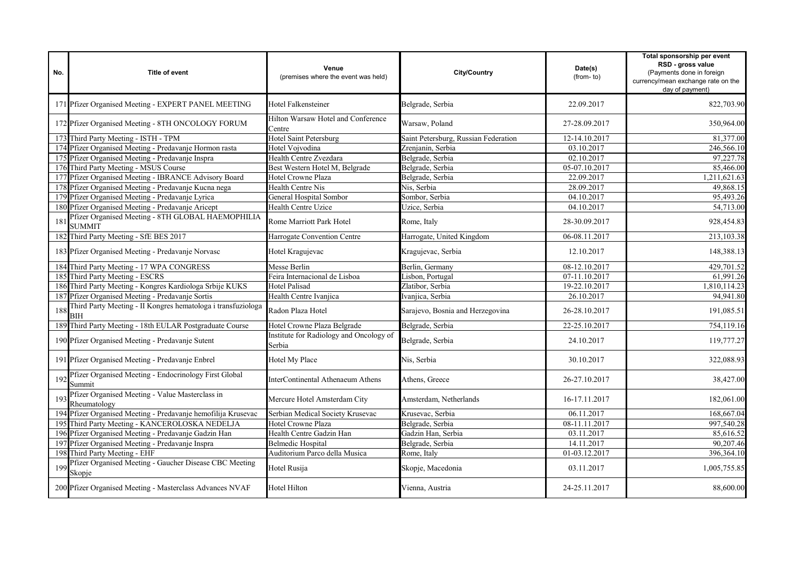| No. | Title of event                                                             | Venue<br>(premises where the event was held)      | City/Country                         | Date(s)<br>(from-to) | Total sponsorship per event<br>RSD - gross value<br>(Payments done in foreign<br>currency/mean exchange rate on the<br>day of payment) |
|-----|----------------------------------------------------------------------------|---------------------------------------------------|--------------------------------------|----------------------|----------------------------------------------------------------------------------------------------------------------------------------|
|     | 171 Pfizer Organised Meeting - EXPERT PANEL MEETING                        | Hotel Falkensteiner                               | Belgrade, Serbia                     | 22.09.2017           | 822,703.90                                                                                                                             |
|     | 172 Pfizer Organised Meeting - 8TH ONCOLOGY FORUM                          | Hilton Warsaw Hotel and Conference<br>Centre      | Warsaw, Poland                       | 27-28.09.2017        | 350,964.00                                                                                                                             |
|     | 173 Third Party Meeting - ISTH - TPM                                       | Hotel Saint Petersburg                            | Saint Petersburg, Russian Federation | 12-14.10.2017        | 81,377.00                                                                                                                              |
|     | 174 Pfizer Organised Meeting - Predavanje Hormon rasta                     | Hotel Vojvodina                                   | Zrenjanin, Serbia                    | 03.10.2017           | 246,566.10                                                                                                                             |
|     | 175 Pfizer Organised Meeting - Predavanje Inspra                           | Health Centre Zvezdara                            | Belgrade, Serbia                     | 02.10.2017           | 97,227.78                                                                                                                              |
|     | 176 Third Party Meeting - MSUS Course                                      | Best Western Hotel M, Belgrade                    | Belgrade, Serbia                     | 05-07.10.2017        | 85,466.00                                                                                                                              |
|     | 177 Pfizer Organised Meeting - IBRANCE Advisory Board                      | Hotel Crowne Plaza                                | Belgrade, Serbia                     | 22.09.2017           | 1,211,621.63                                                                                                                           |
|     | 178 Pfizer Organised Meeting - Predavanje Kucna nega                       | Health Centre Nis                                 | Nis, Serbia                          | 28.09.2017           | 49,868.15                                                                                                                              |
|     | 179 Pfizer Organised Meeting - Predavanje Lyrica                           | General Hospital Sombor                           | Sombor, Serbia                       | 04.10.2017           | 95,493.26                                                                                                                              |
|     | 180 Pfizer Organised Meeting - Predavanje Aricept                          | Health Centre Uzice                               | Uzice, Serbia                        | 04.10.2017           | 54,713.00                                                                                                                              |
| 181 | Pfizer Organised Meeting - 8TH GLOBAL HAEMOPHILIA<br><b>SUMMIT</b>         | Rome Marriott Park Hotel                          | Rome, Italy                          | 28-30.09.2017        | 928,454.83                                                                                                                             |
|     | 182 Third Party Meeting - SfE BES 2017                                     | Harrogate Convention Centre                       | Harrogate, United Kingdom            | 06-08.11.2017        | 213,103.38                                                                                                                             |
|     | 183 Pfizer Organised Meeting - Predavanje Norvasc                          | Hotel Kragujevac                                  | Kragujevac, Serbia                   | 12.10.2017           | 148,388.13                                                                                                                             |
|     | 184 Third Party Meeting - 17 WPA CONGRESS                                  | Messe Berlin                                      | Berlin, Germany                      | 08-12.10.2017        | 429,701.52                                                                                                                             |
|     | 185 Third Party Meeting - ESCRS                                            | Feira Internacional de Lisboa                     | Lisbon, Portugal                     | 07-11.10.2017        | 61,991.26                                                                                                                              |
|     | 186 Third Party Meeting - Kongres Kardiologa Srbije KUKS                   | <b>Hotel Palisad</b>                              | Zlatibor, Serbia                     | 19-22.10.2017        | 1,810,114.23                                                                                                                           |
|     | 187 Pfizer Organised Meeting - Predavanje Sortis                           | Health Centre Ivanjica                            | Ivanjica, Serbia                     | 26.10.2017           | 94,941.80                                                                                                                              |
| 188 | Third Party Meeting - II Kongres hematologa i transfuziologa<br><b>BIH</b> | Radon Plaza Hotel                                 | Sarajevo, Bosnia and Herzegovina     | 26-28.10.2017        | 191,085.51                                                                                                                             |
|     | 189 Third Party Meeting - 18th EULAR Postgraduate Course                   | Hotel Crowne Plaza Belgrade                       | Belgrade, Serbia                     | 22-25.10.2017        | 754,119.16                                                                                                                             |
|     | 190 Pfizer Organised Meeting - Predavanje Sutent                           | Institute for Radiology and Oncology of<br>Serbia | Belgrade, Serbia                     | 24.10.2017           | 119,777.27                                                                                                                             |
|     | 191 Pfizer Organised Meeting - Predavanje Enbrel                           | Hotel My Place                                    | Nis, Serbia                          | 30.10.2017           | 322,088.93                                                                                                                             |
| 192 | Pfizer Organised Meeting - Endocrinology First Global<br>Summit            | InterContinental Athenaeum Athens                 | Athens. Greece                       | 26-27.10.2017        | 38,427.00                                                                                                                              |
| 193 | Pfizer Organised Meeting - Value Masterclass in<br>Rheumatology            | Mercure Hotel Amsterdam City                      | Amsterdam, Netherlands               | 16-17.11.2017        | 182,061.00                                                                                                                             |
|     | 194 Pfizer Organised Meeting - Predavanje hemofilija Krusevac              | Serbian Medical Society Krusevac                  | Krusevac, Serbia                     | 06.11.2017           | 168,667.04                                                                                                                             |
|     | 195 Third Party Meeting - KANCEROLOSKA NEDELJA                             | Hotel Crowne Plaza                                | Belgrade, Serbia                     | 08-11.11.2017        | 997,540.28                                                                                                                             |
|     | 196 Pfizer Organised Meeting - Predavanje Gadzin Han                       | Health Centre Gadzin Han                          | Gadzin Han, Serbia                   | 03.11.2017           | 85,616.52                                                                                                                              |
|     | 197 Pfizer Organised Meeting - Predavanje Inspra                           | <b>Belmedic Hospital</b>                          | Belgrade, Serbia                     | 14.11.2017           | 90,207.46                                                                                                                              |
|     | 198 Third Party Meeting - EHF                                              | Auditorium Parco della Musica                     | Rome, Italy                          | 01-03.12.2017        | 396,364.10                                                                                                                             |
| 199 | Pfizer Organised Meeting - Gaucher Disease CBC Meeting<br>Skopje           | Hotel Rusija                                      | Skopje, Macedonia                    | 03.11.2017           | 1,005,755.85                                                                                                                           |
|     | 200 Pfizer Organised Meeting - Masterclass Advances NVAF                   | Hotel Hilton                                      | Vienna, Austria                      | 24-25.11.2017        | 88,600.00                                                                                                                              |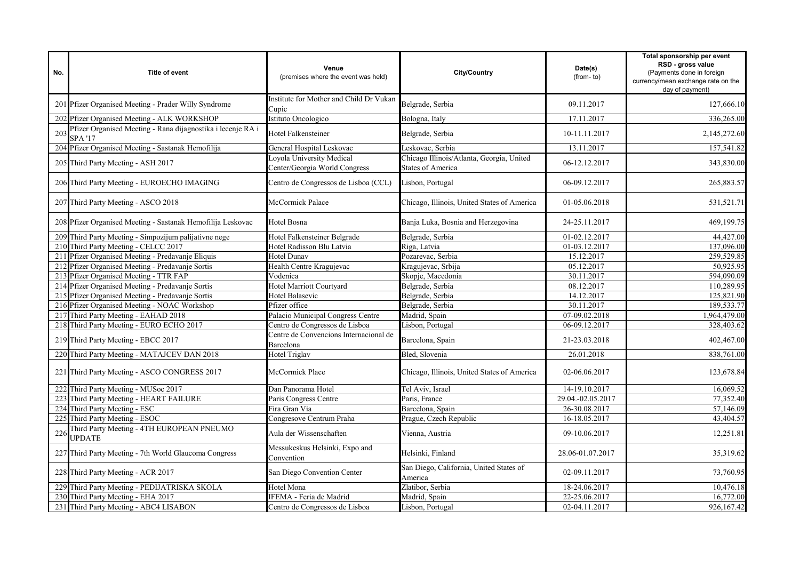| No. | <b>Title of event</b>                                                         | Venue<br>(premises where the event was held)               | <b>City/Country</b>                                                   | Date(s)<br>(from-to) | Total sponsorship per event<br>RSD - gross value<br>(Payments done in foreign<br>currency/mean exchange rate on the<br>day of payment) |
|-----|-------------------------------------------------------------------------------|------------------------------------------------------------|-----------------------------------------------------------------------|----------------------|----------------------------------------------------------------------------------------------------------------------------------------|
|     | 201 Pfizer Organised Meeting - Prader Willy Syndrome                          | Institute for Mother and Child Dr Vukan<br>Cupic           | Belgrade, Serbia                                                      | 09.11.2017           | 127,666.10                                                                                                                             |
|     | 202 Pfizer Organised Meeting - ALK WORKSHOP                                   | Istituto Oncologico                                        | Bologna, Italy                                                        | 17.11.2017           | 336,265.00                                                                                                                             |
| 203 | Pfizer Organised Meeting - Rana dijagnostika i lecenje RA i<br><b>SPA '17</b> | Hotel Falkensteiner                                        | Belgrade, Serbia                                                      | 10-11.11.2017        | 2,145,272.60                                                                                                                           |
|     | 204 Pfizer Organised Meeting - Sastanak Hemofilija                            | General Hospital Leskovac                                  | Leskovac, Serbia                                                      | 13.11.2017           | 157,541.82                                                                                                                             |
|     | 205 Third Party Meeting - ASH 2017                                            | Loyola University Medical<br>Center/Georgia World Congress | Chicago Illinois/Atlanta, Georgia, United<br><b>States of America</b> | 06-12.12.2017        | 343,830.00                                                                                                                             |
|     | 206 Third Party Meeting - EUROECHO IMAGING                                    | Centro de Congressos de Lisboa (CCL)                       | Lisbon, Portugal                                                      | 06-09.12.2017        | 265,883.57                                                                                                                             |
|     | 207 Third Party Meeting - ASCO 2018                                           | McCormick Palace                                           | Chicago, Illinois, United States of America                           | 01-05.06.2018        | 531,521.71                                                                                                                             |
|     | 208 Pfizer Organised Meeting - Sastanak Hemofilija Leskovac                   | Hotel Bosna                                                | Banja Luka, Bosnia and Herzegovina                                    | 24-25.11.2017        | 469,199.75                                                                                                                             |
|     | 209 Third Party Meeting - Simpozijum palijativne nege                         | Hotel Falkensteiner Belgrade                               | Belgrade, Serbia                                                      | 01-02.12.2017        | 44,427.00                                                                                                                              |
|     | 210 Third Party Meeting - CELCC 2017                                          | Hotel Radisson Blu Latvia                                  | Riga, Latvia                                                          | 01-03.12.2017        | 137,096.00                                                                                                                             |
|     | 211 Pfizer Organised Meeting - Predavanje Eliquis                             | <b>Hotel Dunav</b>                                         | Pozarevac, Serbia                                                     | 15.12.2017           | 259,529.85                                                                                                                             |
|     | 212 Pfizer Organised Meeting - Predavanje Sortis                              | Health Centre Kragujevac                                   | Kragujevac, Srbija                                                    | 05.12.2017           | 50,925.95                                                                                                                              |
|     | 213 Pfizer Organised Meeting - TTR FAP                                        | Vodenica                                                   | Skopje, Macedonia                                                     | 30.11.2017           | 594,090.09                                                                                                                             |
|     | 214 Pfizer Organised Meeting - Predavanje Sortis                              | <b>Hotel Marriott Courtyard</b>                            | Belgrade, Serbia                                                      | 08.12.2017           | 110,289.95                                                                                                                             |
|     | 215 Pfizer Organised Meeting - Predavanje Sortis                              | Hotel Balasevic                                            | Belgrade, Serbia                                                      | 14.12.2017           | 125,821.90                                                                                                                             |
|     | 216 Pfizer Organised Meeting - NOAC Workshop                                  | Pfizer office                                              | Belgrade, Serbia                                                      | 30.11.2017           | 189,533.77                                                                                                                             |
|     | 217 Third Party Meeting - EAHAD 2018                                          | Palacio Municipal Congress Centre                          | Madrid, Spain                                                         | 07-09.02.2018        | 1,964,479.00                                                                                                                           |
|     | 218 Third Party Meeting - EURO ECHO 2017                                      | Centro de Congressos de Lisboa                             | Lisbon, Portugal                                                      | 06-09.12.2017        | 328,403.62                                                                                                                             |
|     | 219 Third Party Meeting - EBCC 2017                                           | Centre de Convencions Internacional de<br>Barcelona        | Barcelona, Spain                                                      | 21-23.03.2018        | 402,467.00                                                                                                                             |
|     | 220 Third Party Meeting - MATAJCEV DAN 2018                                   | Hotel Triglav                                              | Bled, Slovenia                                                        | 26.01.2018           | 838,761.00                                                                                                                             |
|     | 221 Third Party Meeting - ASCO CONGRESS 2017                                  | McCormick Place                                            | Chicago, Illinois, United States of America                           | 02-06.06.2017        | 123,678.84                                                                                                                             |
|     | Third Party Meeting - MUSoc 2017                                              | Dan Panorama Hotel                                         | Tel Aviv, Israel                                                      | 14-19.10.2017        | 16,069.52                                                                                                                              |
|     | 223 Third Party Meeting - HEART FAILURE                                       | Paris Congress Centre                                      | Paris, France                                                         | 29.04.-02.05.2017    | 77,352.40                                                                                                                              |
|     | 224 Third Party Meeting - ESC                                                 | Fira Gran Via                                              | Barcelona, Spain                                                      | 26-30.08.2017        | 57,146.09                                                                                                                              |
| 225 | Third Party Meeting - ESOC                                                    | Congresove Centrum Praha                                   | Prague, Czech Republic                                                | 16-18.05.2017        | 43,404.57                                                                                                                              |
| 226 | Third Party Meeting - 4TH EUROPEAN PNEUMO<br><b>UPDATE</b>                    | Aula der Wissenschaften                                    | Vienna, Austria                                                       | 09-10.06.2017        | 12,251.81                                                                                                                              |
|     | 227 Third Party Meeting - 7th World Glaucoma Congress                         | Messukeskus Helsinki, Expo and<br>Convention               | Helsinki, Finland                                                     | 28.06-01.07.2017     | 35,319.62                                                                                                                              |
|     | 228 Third Party Meeting - ACR 2017                                            | San Diego Convention Center                                | San Diego, California, United States of<br>America                    | 02-09.11.2017        | 73,760.95                                                                                                                              |
| 229 | Third Party Meeting - PEDIJATRISKA SKOLA                                      | Hotel Mona                                                 | Zlatibor, Serbia                                                      | 18-24.06.2017        | 10,476.18                                                                                                                              |
|     | 230 Third Party Meeting - EHA 2017                                            | IFEMA - Feria de Madrid                                    | Madrid, Spain                                                         | 22-25.06.2017        | 16,772.00                                                                                                                              |
|     | 231 Third Party Meeting - ABC4 LISABON                                        | Centro de Congressos de Lisboa                             | Lisbon, Portugal                                                      | 02-04.11.2017        | 926,167.42                                                                                                                             |